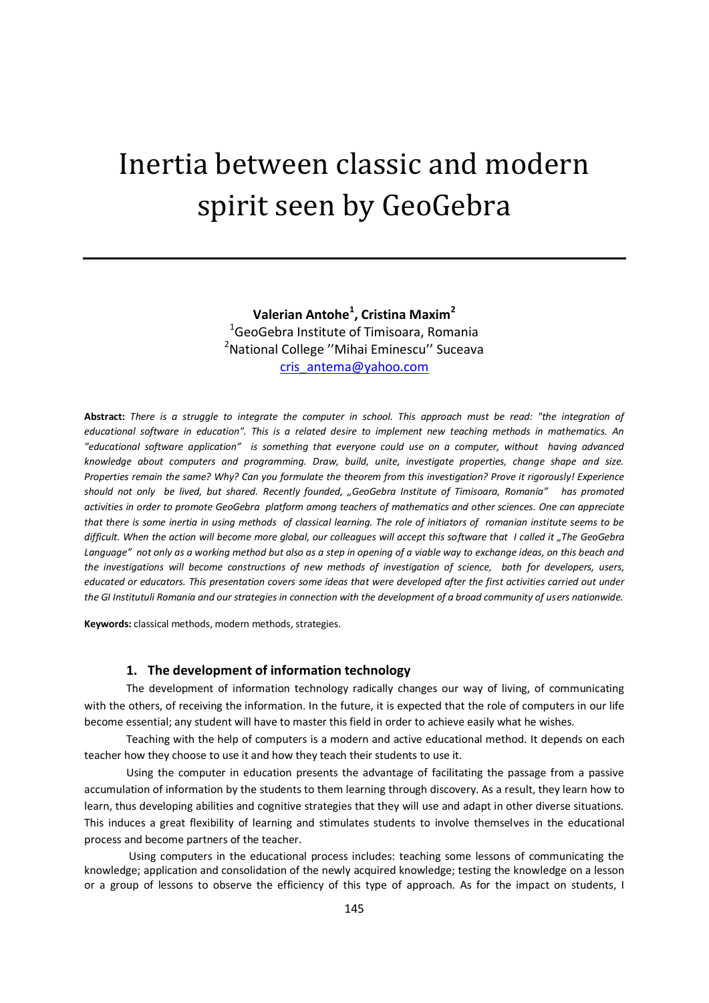# Inertia between classic and modern spirit seen by GeoGebra

**Valerian Antohe<sup>1</sup> , Cristina Maxim<sup>2</sup>** <sup>1</sup>GeoGebra Institute of Timisoara, Romania <sup>2</sup>National College "Mihai Eminescu" Suceava [cris\\_antema@yahoo.com](mailto:cris_antema@yahoo.com)

**Abstract:** *There is a struggle to integrate the computer in school. This approach must be read: "the integration of educational software in education". This is a related desire to implement new teaching methods in mathematics. An "educational software application" is something that everyone could use on a computer, without having advanced knowledge about computers and programming. Draw, build, unite, investigate properties, change shape and size. Properties remain the same? Why? Can you formulate the theorem from this investigation? Prove it rigorously! Experience should not only be lived, but shared. Recently founded, "GeoGebra Institute of Timisoara, Romania" has promoted activities in order to promote GeoGebra platform among teachers of mathematics and other sciences. One can appreciate that there is some inertia in using methods of classical learning. The role of initiators of romanian institute seems to be difficult. When the action will become more global, our colleagues will accept this software that I called it "The GeoGebra*  Language" not only as a working method but also as a step in opening of a viable way to exchange ideas, on this beach and *the investigations will become constructions of new methods of investigation of science, both for developers, users, educated or educators. This presentation covers some ideas that were developed after the first activities carried out under the GI Institutuli Romania and our strategies in connection with the development of a broad community of users nationwide.*

**Keywords:** classical methods, modern methods, strategies.

#### **1. The development of information technology**

The development of information technology radically changes our way of living, of communicating with the others, of receiving the information. In the future, it is expected that the role of computers in our life become essential; any student will have to master this field in order to achieve easily what he wishes.

Teaching with the help of computers is a modern and active educational method. It depends on each teacher how they choose to use it and how they teach their students to use it.

Using the computer in education presents the advantage of facilitating the passage from a passive accumulation of information by the students to them learning through discovery. As a result, they learn how to learn, thus developing abilities and cognitive strategies that they will use and adapt in other diverse situations. This induces a great flexibility of learning and stimulates students to involve themselves in the educational process and become partners of the teacher.

Using computers in the educational process includes: teaching some lessons of communicating the knowledge; application and consolidation of the newly acquired knowledge; testing the knowledge on a lesson or a group of lessons to observe the efficiency of this type of approach. As for the impact on students, I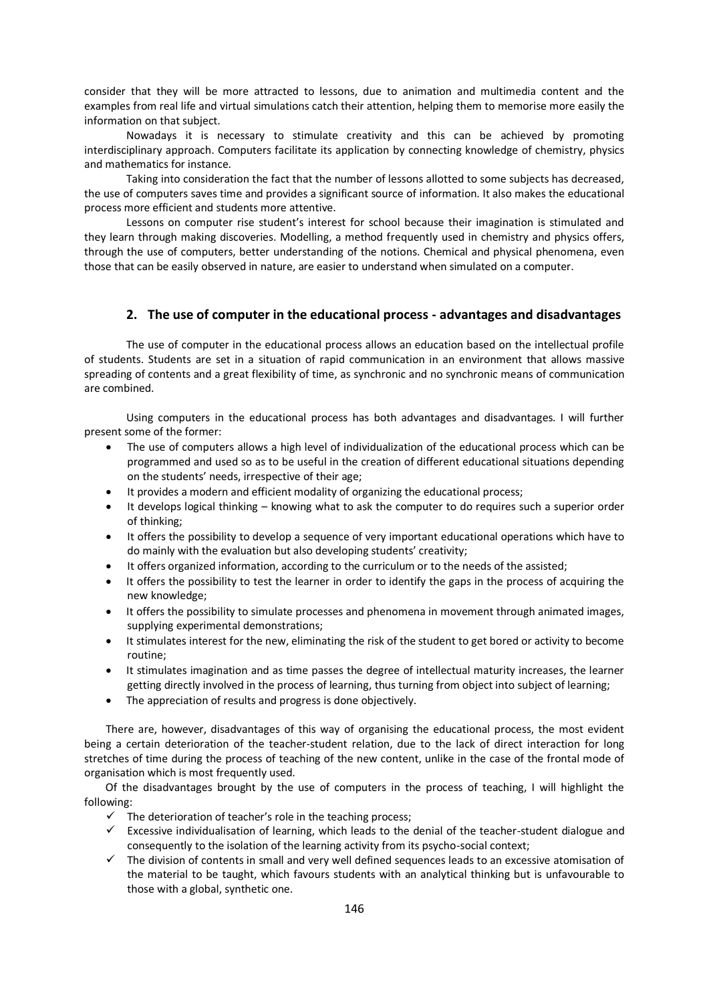consider that they will be more attracted to lessons, due to animation and multimedia content and the examples from real life and virtual simulations catch their attention, helping them to memorise more easily the information on that subject.

Nowadays it is necessary to stimulate creativity and this can be achieved by promoting interdisciplinary approach. Computers facilitate its application by connecting knowledge of chemistry, physics and mathematics for instance.

Taking into consideration the fact that the number of lessons allotted to some subjects has decreased, the use of computers saves time and provides a significant source of information. It also makes the educational process more efficient and students more attentive.

Lessons on computer rise student's interest for school because their imagination is stimulated and they learn through making discoveries. Modelling, a method frequently used in chemistry and physics offers, through the use of computers, better understanding of the notions. Chemical and physical phenomena, even those that can be easily observed in nature, are easier to understand when simulated on a computer.

#### **2. The use of computer in the educational process - advantages and disadvantages**

The use of computer in the educational process allows an education based on the intellectual profile of students. Students are set in a situation of rapid communication in an environment that allows massive spreading of contents and a great flexibility of time, as synchronic and no synchronic means of communication are combined.

Using computers in the educational process has both advantages and disadvantages. I will further present some of the former:

- The use of computers allows a high level of individualization of the educational process which can be programmed and used so as to be useful in the creation of different educational situations depending on the students' needs, irrespective of their age;
- It provides a modern and efficient modality of organizing the educational process;
- It develops logical thinking knowing what to ask the computer to do requires such a superior order of thinking;
- It offers the possibility to develop a sequence of very important educational operations which have to do mainly with the evaluation but also developing students' creativity;
- It offers organized information, according to the curriculum or to the needs of the assisted;
- It offers the possibility to test the learner in order to identify the gaps in the process of acquiring the new knowledge;
- It offers the possibility to simulate processes and phenomena in movement through animated images, supplying experimental demonstrations;
- It stimulates interest for the new, eliminating the risk of the student to get bored or activity to become routine;
- It stimulates imagination and as time passes the degree of intellectual maturity increases, the learner getting directly involved in the process of learning, thus turning from object into subject of learning;
- The appreciation of results and progress is done objectively.

There are, however, disadvantages of this way of organising the educational process, the most evident being a certain deterioration of the teacher-student relation, due to the lack of direct interaction for long stretches of time during the process of teaching of the new content, unlike in the case of the frontal mode of organisation which is most frequently used.

 Of the disadvantages brought by the use of computers in the process of teaching, I will highlight the following:

- $\checkmark$  The deterioration of teacher's role in the teaching process;
- $\checkmark$  Excessive individualisation of learning, which leads to the denial of the teacher-student dialogue and consequently to the isolation of the learning activity from its psycho-social context;
- $\checkmark$  The division of contents in small and very well defined sequences leads to an excessive atomisation of the material to be taught, which favours students with an analytical thinking but is unfavourable to those with a global, synthetic one.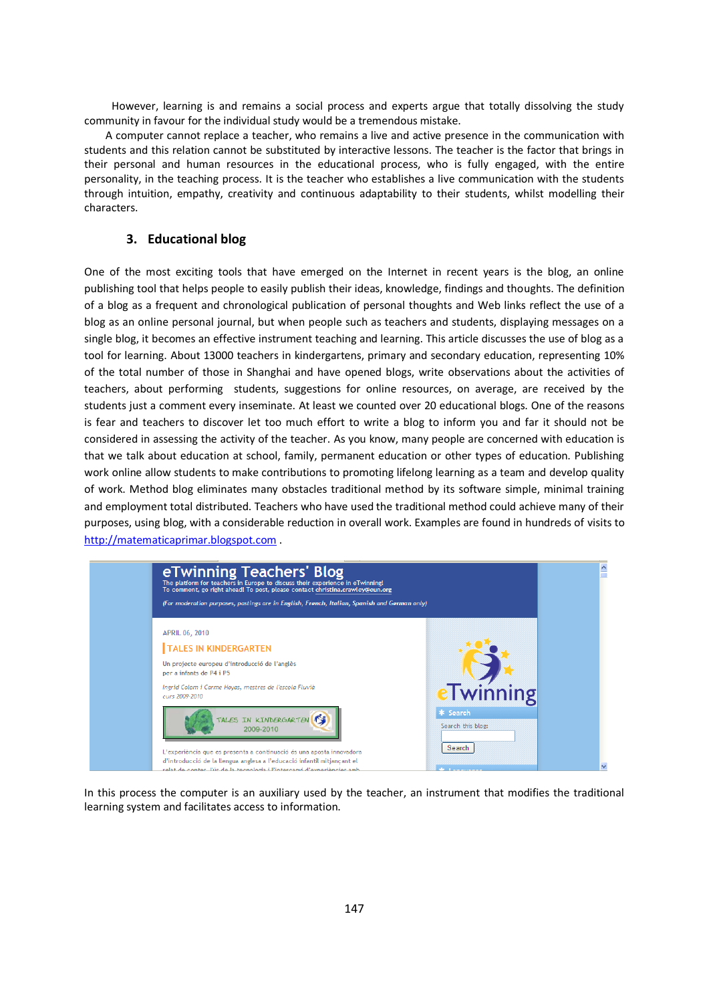However, learning is and remains a social process and experts argue that totally dissolving the study community in favour for the individual study would be a tremendous mistake.

 A computer cannot replace a teacher, who remains a live and active presence in the communication with students and this relation cannot be substituted by interactive lessons. The teacher is the factor that brings in their personal and human resources in the educational process, who is fully engaged, with the entire personality, in the teaching process. It is the teacher who establishes a live communication with the students through intuition, empathy, creativity and continuous adaptability to their students, whilst modelling their characters.

### **3. Educational blog**

One of the most exciting tools that have emerged on the Internet in recent years is the blog, an online publishing tool that helps people to easily publish their ideas, knowledge, findings and thoughts. The definition of a blog as a frequent and chronological publication of personal thoughts and Web links reflect the use of a blog as an online personal journal, but when people such as teachers and students, displaying messages on a single blog, it becomes an effective instrument teaching and learning. This article discusses the use of blog as a tool for learning. About 13000 teachers in kindergartens, primary and secondary education, representing 10% of the total number of those in Shanghai and have opened blogs, write observations about the activities of teachers, about performing students, suggestions for online resources, on average, are received by the students just a comment every inseminate. At least we counted over 20 educational blogs. One of the reasons is fear and teachers to discover let too much effort to write a blog to inform you and far it should not be considered in assessing the activity of the teacher. As you know, many people are concerned with education is that we talk about education at school, family, permanent education or other types of education. Publishing work online allow students to make contributions to promoting lifelong learning as a team and develop quality of work. Method blog eliminates many obstacles traditional method by its software simple, minimal training and employment total distributed. Teachers who have used the traditional method could achieve many of their purposes, using blog, with a considerable reduction in overall work. Examples are found in hundreds of visits to [http://matematicaprimar.blogspot.com](http://matematicaprimar.blogspot.com/) .



In this process the computer is an auxiliary used by the teacher, an instrument that modifies the traditional learning system and facilitates access to information.